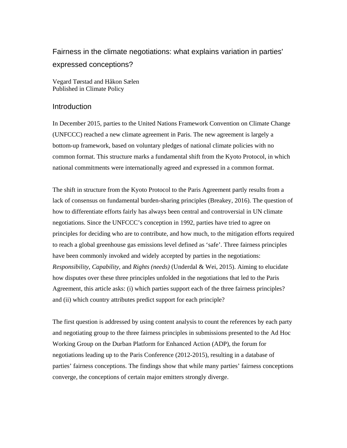# Fairness in the climate negotiations: what explains variation in parties' expressed conceptions?

Vegard Tørstad and Håkon Sælen Published in Climate Policy

# **Introduction**

In December 2015, parties to the United Nations Framework Convention on Climate Change (UNFCCC) reached a new climate agreement in Paris. The new agreement is largely a bottom-up framework, based on voluntary pledges of national climate policies with no common format. This structure marks a fundamental shift from the Kyoto Protocol, in which national commitments were internationally agreed and expressed in a common format.

The shift in structure from the Kyoto Protocol to the Paris Agreement partly results from a lack of consensus on fundamental burden-sharing principles (Breakey, 2016). The question of how to differentiate efforts fairly has always been central and controversial in UN climate negotiations. Since the UNFCCC's conception in 1992, parties have tried to agree on principles for deciding who are to contribute, and how much, to the mitigation efforts required to reach a global greenhouse gas emissions level defined as 'safe'. Three fairness principles have been commonly invoked and widely accepted by parties in the negotiations: *Responsibility*, *Capability,* and *Rights (needs)* (Underdal & Wei, 2015). Aiming to elucidate how disputes over these three principles unfolded in the negotiations that led to the Paris Agreement, this article asks: (i) which parties support each of the three fairness principles? and (ii) which country attributes predict support for each principle?

The first question is addressed by using content analysis to count the references by each party and negotiating group to the three fairness principles in submissions presented to the Ad Hoc Working Group on the Durban Platform for Enhanced Action (ADP), the forum for negotiations leading up to the Paris Conference (2012-2015), resulting in a database of parties' fairness conceptions. The findings show that while many parties' fairness conceptions converge, the conceptions of certain major emitters strongly diverge.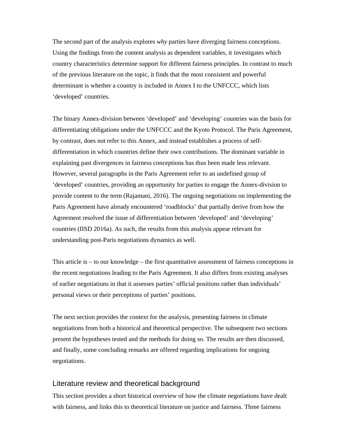The second part of the analysis explores *why* parties have diverging fairness conceptions. Using the findings from the content analysis as dependent variables, it investigates which country characteristics determine support for different fairness principles. In contrast to much of the previous literature on the topic, it finds that the most consistent and powerful determinant is whether a country is included in Annex I to the UNFCCC, which lists 'developed' countries.

The binary Annex-division between 'developed' and 'developing' countries was the basis for differentiating obligations under the UNFCCC and the Kyoto Protocol. The Paris Agreement, by contrast, does not refer to this Annex, and instead establishes a process of selfdifferentiation in which countries define their own contributions. The dominant variable in explaining past divergences in fairness conceptions has thus been made less relevant. However, several paragraphs in the Paris Agreement refer to an undefined group of 'developed' countries, providing an opportunity for parties to engage the Annex-division to provide content to the term (Rajamani, 2016). The ongoing negotiations on implementing the Paris Agreement have already encountered 'roadblocks' that partially derive from how the Agreement resolved the issue of differentiation between 'developed' and 'developing' countries (IISD 2016a). As such, the results from this analysis appear relevant for understanding post-Paris negotiations dynamics as well.

This article is – to our knowledge – the first quantitative assessment of fairness conceptions in the recent negotiations leading to the Paris Agreement. It also differs from existing analyses of earlier negotiations in that it assesses parties' official positions rather than individuals' personal views or their perceptions of parties' positions.

The next section provides the context for the analysis, presenting fairness in climate negotiations from both a historical and theoretical perspective. The subsequent two sections present the hypotheses tested and the methods for doing so. The results are then discussed, and finally, some concluding remarks are offered regarding implications for ongoing negotiations.

# Literature review and theoretical background

This section provides a short historical overview of how the climate negotiations have dealt with fairness, and links this to theoretical literature on justice and fairness. Three fairness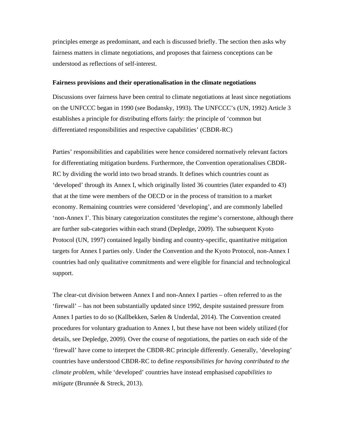principles emerge as predominant, and each is discussed briefly. The section then asks why fairness matters in climate negotiations, and proposes that fairness conceptions can be understood as reflections of self-interest.

#### **Fairness provisions and their operationalisation in the climate negotiations**

Discussions over fairness have been central to climate negotiations at least since negotiations on the UNFCCC began in 1990 (see Bodansky, 1993). The UNFCCC's (UN, 1992) Article 3 establishes a principle for distributing efforts fairly: the principle of 'common but differentiated responsibilities and respective capabilities' (CBDR-RC)

Parties' responsibilities and capabilities were hence considered normatively relevant factors for differentiating mitigation burdens. Furthermore, the Convention operationalises CBDR-RC by dividing the world into two broad strands. It defines which countries count as 'developed' through its Annex I, which originally listed 36 countries (later expanded to 43) that at the time were members of the OECD or in the process of transition to a market economy. Remaining countries were considered 'developing', and are commonly labelled 'non-Annex I'. This binary categorization constitutes the regime's cornerstone, although there are further sub-categories within each strand (Depledge, 2009). The subsequent Kyoto Protocol (UN, 1997) contained legally binding and country-specific, quantitative mitigation targets for Annex I parties only. Under the Convention and the Kyoto Protocol, non-Annex I countries had only qualitative commitments and were eligible for financial and technological support.

The clear-cut division between Annex I and non-Annex I parties – often referred to as the 'firewall' – has not been substantially updated since 1992, despite sustained pressure from Annex I parties to do so (Kallbekken, Sælen & Underdal, 2014). The Convention created procedures for voluntary graduation to Annex I, but these have not been widely utilized (for details, see Depledge, 2009). Over the course of negotiations, the parties on each side of the 'firewall' have come to interpret the CBDR-RC principle differently. Generally, 'developing' countries have understood CBDR-RC to define *responsibilities for having contributed to the climate problem*, while 'developed' countries have instead emphasised *capabilities to mitigate* (Brunnée & Streck, 2013).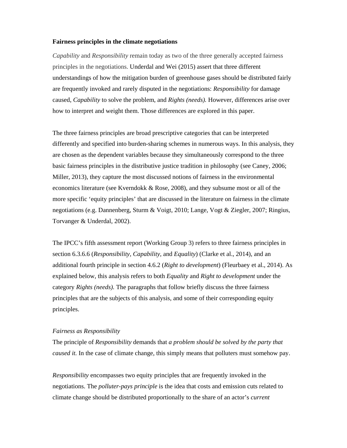## **Fairness principles in the climate negotiations**

*Capability* and *Responsibility* remain today as two of the three generally accepted fairness principles in the negotiations. Underdal and Wei (2015) assert that three different understandings of how the mitigation burden of greenhouse gases should be distributed fairly are frequently invoked and rarely disputed in the negotiations: *Responsibility* for damage caused, *Capability* to solve the problem, and *Rights (needs).* However, differences arise over how to interpret and weight them. Those differences are explored in this paper.

The three fairness principles are broad prescriptive categories that can be interpreted differently and specified into burden-sharing schemes in numerous ways. In this analysis, they are chosen as the dependent variables because they simultaneously correspond to the three basic fairness principles in the distributive justice tradition in philosophy (see Caney, 2006; Miller, 2013), they capture the most discussed notions of fairness in the environmental economics literature (see Kverndokk & Rose, 2008), and they subsume most or all of the more specific 'equity principles' that are discussed in the literature on fairness in the climate negotiations (e.g. Dannenberg, Sturm & Voigt, 2010; Lange, Vogt & Ziegler, 2007; Ringius, Torvanger & Underdal, 2002).

The IPCC's fifth assessment report (Working Group 3) refers to three fairness principles in section 6.3.6.6 (*Responsibility, Capability,* and *Equality*) (Clarke et al., 2014), and an additional fourth principle in section 4.6.2 (*Right to development*) (Fleurbaey et al., 2014). As explained below, this analysis refers to both *Equality* and *Right to development* under the category *Rights (needs).* The paragraphs that follow briefly discuss the three fairness principles that are the subjects of this analysis, and some of their corresponding equity principles.

#### *Fairness as Responsibility*

The principle of *Responsibility* demands that *a problem should be solved by the party that caused it.* In the case of climate change, this simply means that polluters must somehow pay.

*Responsibility* encompasses two equity principles that are frequently invoked in the negotiations. The *polluter-pays principle* is the idea that costs and emission cuts related to climate change should be distributed proportionally to the share of an actor's *current*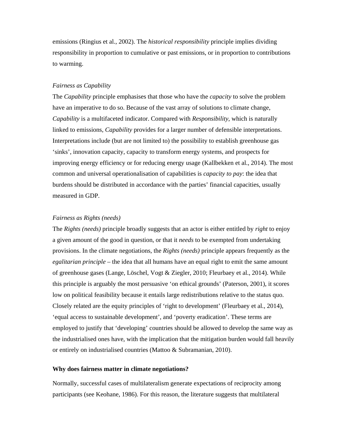emissions (Ringius et al., 2002). The *historical responsibility* principle implies dividing responsibility in proportion to cumulative or past emissions, or in proportion to contributions to warming.

#### *Fairness as Capability*

The *Capability* principle emphasises that those who have the *capacity* to solve the problem have an imperative to do so. Because of the vast array of solutions to climate change, *Capability* is a multifaceted indicator. Compared with *Responsibility*, which is naturally linked to emissions, *Capability* provides for a larger number of defensible interpretations. Interpretations include (but are not limited to) the possibility to establish greenhouse gas 'sinks', innovation capacity, capacity to transform energy systems, and prospects for improving energy efficiency or for reducing energy usage (Kallbekken et al., 2014). The most common and universal operationalisation of capabilities is *capacity to pay*: the idea that burdens should be distributed in accordance with the parties' financial capacities, usually measured in GDP.

## *Fairness as Rights (needs)*

The *Rights (needs)* principle broadly suggests that an actor is either entitled by *right* to enjoy a given amount of the good in question, or that it *needs* to be exempted from undertaking provisions. In the climate negotiations, the *Rights (needs)* principle appears frequently as the *egalitarian principle* – the idea that all humans have an equal right to emit the same amount of greenhouse gases (Lange, Löschel, Vogt & Ziegler, 2010; Fleurbaey et al., 2014). While this principle is arguably the most persuasive 'on ethical grounds' (Paterson, 2001), it scores low on political feasibility because it entails large redistributions relative to the status quo. Closely related are the equity principles of 'right to development' (Fleurbaey et al., 2014), 'equal access to sustainable development', and 'poverty eradication'. These terms are employed to justify that 'developing' countries should be allowed to develop the same way as the industrialised ones have, with the implication that the mitigation burden would fall heavily or entirely on industrialised countries (Mattoo & Subramanian, 2010).

#### **Why does fairness matter in climate negotiations?**

Normally, successful cases of multilateralism generate expectations of reciprocity among participants (see Keohane, 1986). For this reason, the literature suggests that multilateral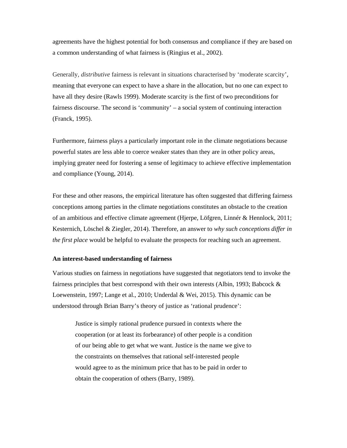agreements have the highest potential for both consensus and compliance if they are based on a common understanding of what fairness is (Ringius et al., 2002).

Generally, *distributive* fairness is relevant in situations characterised by 'moderate scarcity', meaning that everyone can expect to have a share in the allocation, but no one can expect to have all they desire (Rawls 1999). Moderate scarcity is the first of two preconditions for fairness discourse. The second is 'community' – a social system of continuing interaction (Franck, 1995).

Furthermore, fairness plays a particularly important role in the climate negotiations because powerful states are less able to coerce weaker states than they are in other policy areas, implying greater need for fostering a sense of legitimacy to achieve effective implementation and compliance (Young, 2014).

For these and other reasons, the empirical literature has often suggested that differing fairness conceptions among parties in the climate negotiations constitutes an obstacle to the creation of an ambitious and effective climate agreement (Hjerpe, Löfgren, Linnér & Hennlock, 2011; Kesternich, Löschel & Ziegler, 2014). Therefore, an answer to *why such conceptions differ in the first place* would be helpful to evaluate the prospects for reaching such an agreement.

## **An interest-based understanding of fairness**

Various studies on fairness in negotiations have suggested that negotiators tend to invoke the fairness principles that best correspond with their own interests (Albin, 1993; Babcock & Loewenstein, 1997; Lange et al., 2010; Underdal & Wei, 2015). This dynamic can be understood through Brian Barry's theory of justice as 'rational prudence':

Justice is simply rational prudence pursued in contexts where the cooperation (or at least its forbearance) of other people is a condition of our being able to get what we want. Justice is the name we give to the constraints on themselves that rational self-interested people would agree to as the minimum price that has to be paid in order to obtain the cooperation of others (Barry, 1989).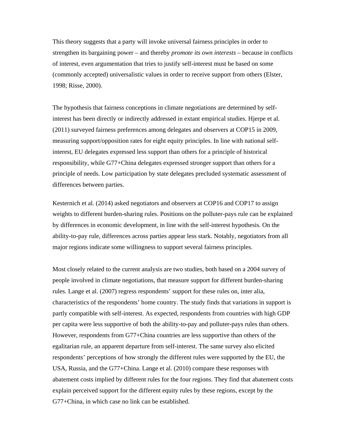This theory suggests that a party will invoke universal fairness principles in order to strengthen its bargaining power – and thereby *promote its own interests* – because in conflicts of interest, even argumentation that tries to justify self-interest must be based on some (commonly accepted) universalistic values in order to receive support from others (Elster, 1998; Risse, 2000).

The hypothesis that fairness conceptions in climate negotiations are determined by selfinterest has been directly or indirectly addressed in extant empirical studies. Hjerpe et al. (2011) surveyed fairness preferences among delegates and observers at COP15 in 2009, measuring support/opposition rates for eight equity principles. In line with national selfinterest, EU delegates expressed less support than others for a principle of historical responsibility, while G77+China delegates expressed stronger support than others for a principle of needs. Low participation by state delegates precluded systematic assessment of differences between parties.

Kesternich et al. (2014) asked negotiators and observers at COP16 and COP17 to assign weights to different burden-sharing rules. Positions on the polluter-pays rule can be explained by differences in economic development, in line with the self-interest hypothesis. On the ability-to-pay rule, differences across parties appear less stark. Notably, negotiators from all major regions indicate some willingness to support several fairness principles.

Most closely related to the current analysis are two studies, both based on a 2004 survey of people involved in climate negotiations, that measure support for different burden-sharing rules. Lange et al. (2007) regress respondents' support for these rules on, inter alia, characteristics of the respondents' home country. The study finds that variations in support is partly compatible with self-interest. As expected, respondents from countries with high GDP per capita were less supportive of both the ability-to-pay and polluter-pays rules than others. However, respondents from G77+China countries are less supportive than others of the egalitarian rule, an apparent departure from self-interest. The same survey also elicited respondents' perceptions of how strongly the different rules were supported by the EU, the USA, Russia, and the G77+China. Lange et al. (2010) compare these responses with abatement costs implied by different rules for the four regions. They find that abatement costs explain perceived support for the different equity rules by these regions, except by the G77+China, in which case no link can be established.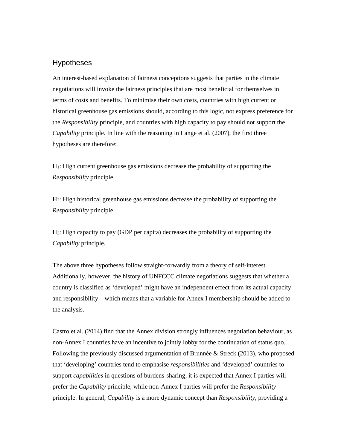# Hypotheses

An interest-based explanation of fairness conceptions suggests that parties in the climate negotiations will invoke the fairness principles that are most beneficial for themselves in terms of costs and benefits. To minimise their own costs, countries with high current or historical greenhouse gas emissions should, according to this logic, not express preference for the *Responsibility* principle, and countries with high capacity to pay should not support the *Capability* principle. In line with the reasoning in Lange et al. (2007), the first three hypotheses are therefore:

H1: High current greenhouse gas emissions decrease the probability of supporting the *Responsibility* principle.

H2: High historical greenhouse gas emissions decrease the probability of supporting the *Responsibility* principle.

H3: High capacity to pay (GDP per capita) decreases the probability of supporting the *Capability* principle.

The above three hypotheses follow straight-forwardly from a theory of self-interest. Additionally, however, the history of UNFCCC climate negotiations suggests that whether a country is classified as 'developed' might have an independent effect from its actual capacity and responsibility – which means that a variable for Annex I membership should be added to the analysis.

Castro et al. (2014) find that the Annex division strongly influences negotiation behaviour, as non-Annex I countries have an incentive to jointly lobby for the continuation of status quo. Following the previously discussed argumentation of Brunnée & Streck (2013), who proposed that 'developing' countries tend to emphasise *responsibilities* and 'developed' countries to support *capabilities* in questions of burdens-sharing*,* it is expected that Annex I parties will prefer the *Capability* principle, while non-Annex I parties will prefer the *Responsibility* principle. In general, *Capability* is a more dynamic concept than *Responsibility*, providing a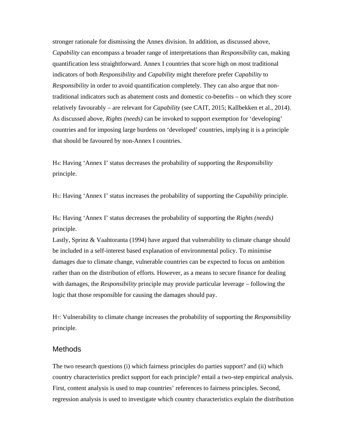stronger rationale for dismissing the Annex division. In addition, as discussed above, *Capability* can encompass a broader range of interpretations than *Responsibility* can, making quantification less straightforward. Annex I countries that score high on most traditional indicators of both *Responsibility* and *Capability* might therefore prefer *Capability* to *Responsibility* in order to avoid quantification completely. They can also argue that nontraditional indicators such as abatement costs and domestic co-benefits – on which they score relatively favourably – are relevant for *Capability* (see CAIT, 2015; Kallbekken et al., 2014). As discussed above, *Rights (needs)* can be invoked to support exemption for 'developing' countries and for imposing large burdens on 'developed' countries, implying it is a principle that should be favoured by non-Annex I countries.

H4: Having 'Annex I' status decreases the probability of supporting the *Responsibility* principle.

H5: Having 'Annex I' status increases the probability of supporting the *Capability* principle.

H6: Having 'Annex I' status decreases the probability of supporting the *Rights (needs)*  principle.

Lastly, Sprinz & Vaahtoranta (1994) have argued that vulnerability to climate change should be included in a self-interest based explanation of environmental policy. To minimise damages due to climate change, vulnerable countries can be expected to focus on ambition rather than on the distribution of efforts. However, as a means to secure finance for dealing with damages, the *Responsibility* principle may provide particular leverage – following the logic that those responsible for causing the damages should pay.

H7: Vulnerability to climate change increases the probability of supporting the *Responsibility*  principle.

# **Methods**

The two research questions (i) which fairness principles do parties support? and (ii) which country characteristics predict support for each principle? entail a two-step empirical analysis. First, content analysis is used to map countries' references to fairness principles. Second, regression analysis is used to investigate which country characteristics explain the distribution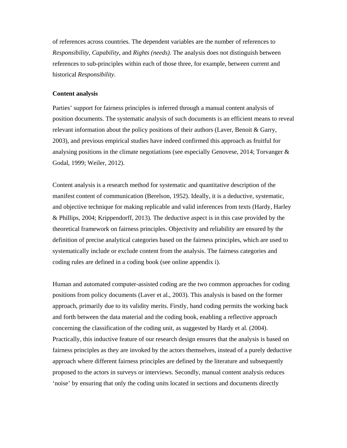of references across countries. The dependent variables are the number of references to *Responsibility*, *Capability*, and *Rights (needs).* The analysis does not distinguish between references to sub-principles within each of those three, for example, between current and historical *Responsibility.*

## **Content analysis**

Parties' support for fairness principles is inferred through a manual content analysis of position documents. The systematic analysis of such documents is an efficient means to reveal relevant information about the policy positions of their authors (Laver, Benoit & Garry, 2003), and previous empirical studies have indeed confirmed this approach as fruitful for analysing positions in the climate negotiations (see especially Genovese, 2014; Torvanger & Godal, 1999; Weiler, 2012).

Content analysis is a research method for systematic and quantitative description of the manifest content of communication (Berelson, 1952). Ideally, it is a deductive, systematic, and objective technique for making replicable and valid inferences from texts (Hardy, Harley & Phillips, 2004; Krippendorff, 2013). The deductive aspect is in this case provided by the theoretical framework on fairness principles. Objectivity and reliability are ensured by the definition of precise analytical categories based on the fairness principles, which are used to systematically include or exclude content from the analysis. The fairness categories and coding rules are defined in a coding book (see online appendix i).

Human and automated computer-assisted coding are the two common approaches for coding positions from policy documents (Laver et al., 2003). This analysis is based on the former approach, primarily due to its validity merits. Firstly, hand coding permits the working back and forth between the data material and the coding book, enabling a reflective approach concerning the classification of the coding unit, as suggested by Hardy et al. (2004). Practically, this inductive feature of our research design ensures that the analysis is based on fairness principles as they are invoked by the actors themselves, instead of a purely deductive approach where different fairness principles are defined by the literature and subsequently proposed to the actors in surveys or interviews. Secondly, manual content analysis reduces 'noise' by ensuring that only the coding units located in sections and documents directly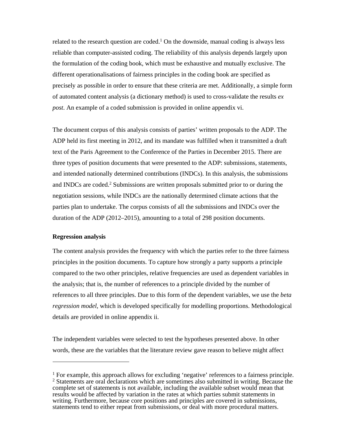related to the research question are coded.<sup>1</sup> On the downside, manual coding is always less reliable than computer-assisted coding. The reliability of this analysis depends largely upon the formulation of the coding book, which must be exhaustive and mutually exclusive. The different operationalisations of fairness principles in the coding book are specified as precisely as possible in order to ensure that these criteria are met. Additionally, a simple form of automated content analysis (a dictionary method) is used to cross-validate the results *ex post*. An example of a coded submission is provided in online appendix vi.

The document corpus of this analysis consists of parties' written proposals to the ADP. The ADP held its first meeting in 2012, and its mandate was fulfilled when it transmitted a draft text of the Paris Agreement to the Conference of the Parties in December 2015. There are three types of position documents that were presented to the ADP: submissions*,* statements, and intended nationally determined contributions (INDCs). In this analysis, the submissions and INDCs are coded.2 Submissions are written proposals submitted prior to or during the negotiation sessions, while INDCs are the nationally determined climate actions that the parties plan to undertake. The corpus consists of all the submissions and INDCs over the duration of the ADP (2012–2015), amounting to a total of 298 position documents.

## **Regression analysis**

 $\overline{a}$ 

The content analysis provides the frequency with which the parties refer to the three fairness principles in the position documents. To capture how strongly a party supports a principle compared to the two other principles, relative frequencies are used as dependent variables in the analysis; that is, the number of references to a principle divided by the number of references to all three principles. Due to this form of the dependent variables, we use the *beta regression model,* which is developed specifically for modelling proportions. Methodological details are provided in online appendix ii.

The independent variables were selected to test the hypotheses presented above. In other words, these are the variables that the literature review gave reason to believe might affect

<sup>&</sup>lt;sup>1</sup> For example, this approach allows for excluding 'negative' references to a fairness principle. <sup>2</sup> Statements are oral declarations which are sometimes also submitted in writing. Because the complete set of statements is not available, including the available subset would mean that results would be affected by variation in the rates at which parties submit statements in writing. Furthermore, because core positions and principles are covered in submissions, statements tend to either repeat from submissions, or deal with more procedural matters.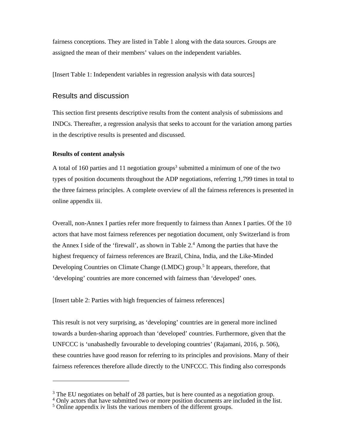fairness conceptions. They are listed in Table 1 along with the data sources. Groups are assigned the mean of their members' values on the independent variables.

[Insert Table 1: Independent variables in regression analysis with data sources]

# Results and discussion

This section first presents descriptive results from the content analysis of submissions and INDCs. Thereafter, a regression analysis that seeks to account for the variation among parties in the descriptive results is presented and discussed.

# **Results of content analysis**

 $\overline{a}$ 

A total of 160 parties and 11 negotiation groups<sup>3</sup> submitted a minimum of one of the two types of position documents throughout the ADP negotiations, referring 1,799 times in total to the three fairness principles. A complete overview of all the fairness references is presented in online appendix iii.

Overall, non-Annex I parties refer more frequently to fairness than Annex I parties. Of the 10 actors that have most fairness references per negotiation document, only Switzerland is from the Annex I side of the 'firewall', as shown in Table  $2<sup>4</sup>$  Among the parties that have the highest frequency of fairness references are Brazil, China, India, and the Like-Minded Developing Countries on Climate Change (LMDC) group.<sup>5</sup> It appears, therefore, that 'developing' countries are more concerned with fairness than 'developed' ones.

[Insert table 2: Parties with high frequencies of fairness references]

This result is not very surprising, as 'developing' countries are in general more inclined towards a burden-sharing approach than 'developed' countries. Furthermore, given that the UNFCCC is 'unabashedly favourable to developing countries' (Rajamani, 2016, p. 506), these countries have good reason for referring to its principles and provisions. Many of their fairness references therefore allude directly to the UNFCCC. This finding also corresponds

 $3$  The EU negotiates on behalf of 28 parties, but is here counted as a negotiation group.  $4$  Only actors that have submitted two or more position documents are included in the list.

<sup>&</sup>lt;sup>5</sup> Online appendix iv lists the various members of the different groups.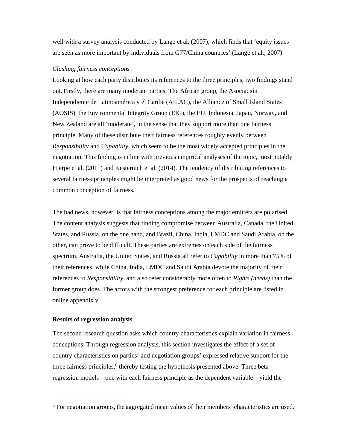well with a survey analysis conducted by Lange et al. (2007), which finds that 'equity issues are seen as more important by individuals from G77/China countries' (Lange et al., 2007).

## *Clashing fairness conceptions*

Looking at how each party distributes its references to the three principles, two findings stand out. Firstly, there are many moderate parties. The African group, the Asociación Independiente de Latinoamérica y el Caribe (AILAC), the Alliance of Small Island States (AOSIS), the Environmental Integrity Group (EIG), the EU, Indonesia, Japan, Norway, and New Zealand are all 'moderate', in the sense that they support more than one fairness principle. Many of these distribute their fairness references roughly evenly between *Responsibility* and *Capability*, which seem to be the most widely accepted principles in the negotiation. This finding is in line with previous empirical analyses of the topic, most notably Hjerpe et al. (2011) and Kesternich et al. (2014). The tendency of distributing references to several fairness principles might be interpreted as good news for the prospects of reaching a common conception of fairness.

The bad news, however, is that fairness conceptions among the major emitters are polarised. The content analysis suggests that finding compromise between Australia, Canada, the United States, and Russia, on the one hand, and Brazil, China, India, LMDC and Saudi Arabia, on the other, can prove to be difficult. These parties are extremes on each side of the fairness spectrum. Australia, the United States, and Russia all refer to *Capability* in more than 75% of their references, while China, India, LMDC and Saudi Arabia devote the majority of their references to *Responsibility,* and also refer considerably more often to *Rights (needs)* than the former group does. The actors with the strongest preference for each principle are listed in online appendix v.

## **Results of regression analysis**

 $\overline{a}$ 

The second research question asks which country characteristics explain variation in fairness conceptions. Through regression analysis, this section investigates the effect of a set of country characteristics on parties' and negotiation groups' expressed relative support for the three fairness principles,<sup>6</sup> thereby testing the hypothesis presented above. Three beta regression models – one with each fairness principle as the dependent variable – yield the

<sup>6</sup> For negotiation groups, the aggregated mean values of their members' characteristics are used.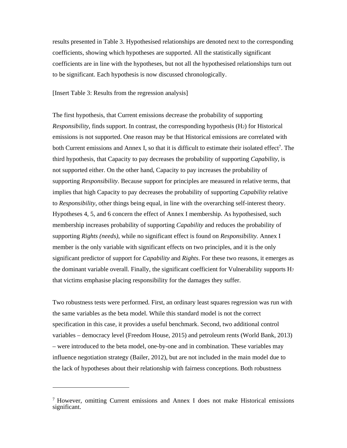results presented in Table 3. Hypothesised relationships are denoted next to the corresponding coefficients, showing which hypotheses are supported. All the statistically significant coefficients are in line with the hypotheses, but not all the hypothesised relationships turn out to be significant. Each hypothesis is now discussed chronologically.

[Insert Table 3: Results from the regression analysis]

The first hypothesis, that Current emissions decrease the probability of supporting *Responsibility*, finds support. In contrast, the corresponding hypothesis (H2) for Historical emissions is not supported. One reason may be that Historical emissions are correlated with both Current emissions and Annex I, so that it is difficult to estimate their isolated effect<sup>7</sup>. The third hypothesis, that Capacity to pay decreases the probability of supporting *Capability,* is not supported either. On the other hand, Capacity to pay increases the probability of supporting *Responsibility*. Because support for principles are measured in relative terms, that implies that high Capacity to pay decreases the probability of supporting *Capability* relative to *Responsibility*, other things being equal, in line with the overarching self-interest theory. Hypotheses 4, 5, and 6 concern the effect of Annex I membership. As hypothesised, such membership increases probability of supporting *Capability* and reduces the probability of supporting *Rights (needs)*, while no significant effect is found on *Responsibility.* Annex I member is the only variable with significant effects on two principles, and it is the only significant predictor of support for *Capability* and *Rights*. For these two reasons, it emerges as the dominant variable overall. Finally, the significant coefficient for Vulnerability supports H7 that victims emphasise placing responsibility for the damages they suffer.

Two robustness tests were performed. First, an ordinary least squares regression was run with the same variables as the beta model. While this standard model is not the correct specification in this case, it provides a useful benchmark. Second, two additional control variables – democracy level (Freedom House, 2015) and petroleum rents (World Bank, 2013) – were introduced to the beta model, one-by-one and in combination. These variables may influence negotiation strategy (Bailer, 2012), but are not included in the main model due to the lack of hypotheses about their relationship with fairness conceptions. Both robustness

 $\overline{a}$ 

<sup>7</sup> However, omitting Current emissions and Annex I does not make Historical emissions significant.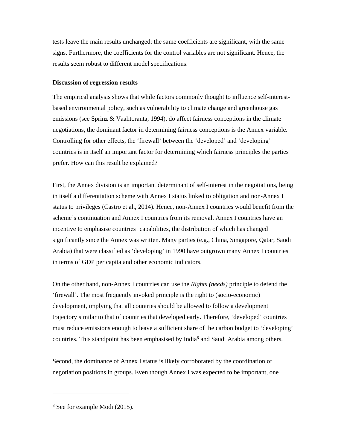tests leave the main results unchanged: the same coefficients are significant, with the same signs. Furthermore, the coefficients for the control variables are not significant. Hence, the results seem robust to different model specifications.

## **Discussion of regression results**

The empirical analysis shows that while factors commonly thought to influence self-interestbased environmental policy, such as vulnerability to climate change and greenhouse gas emissions (see Sprinz & Vaahtoranta, 1994), do affect fairness conceptions in the climate negotiations, the dominant factor in determining fairness conceptions is the Annex variable. Controlling for other effects, the 'firewall' between the 'developed' and 'developing' countries is in itself an important factor for determining which fairness principles the parties prefer. How can this result be explained?

First, the Annex division is an important determinant of self-interest in the negotiations, being in itself a differentiation scheme with Annex I status linked to obligation and non-Annex I status to privileges (Castro et al., 2014). Hence, non-Annex I countries would benefit from the scheme's continuation and Annex I countries from its removal. Annex I countries have an incentive to emphasise countries' capabilities, the distribution of which has changed significantly since the Annex was written. Many parties (e.g., China, Singapore, Qatar, Saudi Arabia) that were classified as 'developing' in 1990 have outgrown many Annex I countries in terms of GDP per capita and other economic indicators.

On the other hand, non-Annex I countries can use the *Rights (needs)* principle to defend the 'firewall'. The most frequently invoked principle is the right to (socio-economic) development, implying that all countries should be allowed to follow a development trajectory similar to that of countries that developed early. Therefore, 'developed' countries must reduce emissions enough to leave a sufficient share of the carbon budget to 'developing' countries. This standpoint has been emphasised by India<sup>8</sup> and Saudi Arabia among others.

Second, the dominance of Annex I status is likely corroborated by the coordination of negotiation positions in groups. Even though Annex I was expected to be important, one

 $\overline{a}$ 

<sup>8</sup> See for example Modi (2015).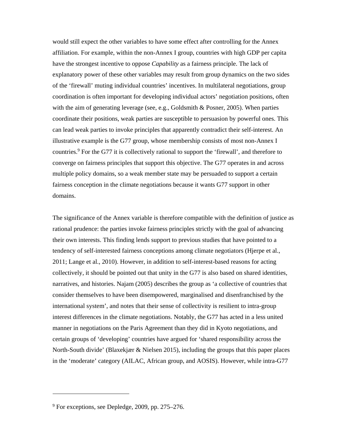would still expect the other variables to have some effect after controlling for the Annex affiliation. For example, within the non-Annex I group, countries with high GDP per capita have the strongest incentive to oppose *Capability* as a fairness principle. The lack of explanatory power of these other variables may result from group dynamics on the two sides of the 'firewall' muting individual countries' incentives. In multilateral negotiations, group coordination is often important for developing individual actors' negotiation positions, often with the aim of generating leverage (see, e.g., Goldsmith & Posner, 2005). When parties coordinate their positions, weak parties are susceptible to persuasion by powerful ones. This can lead weak parties to invoke principles that apparently contradict their self-interest. An illustrative example is the G77 group, whose membership consists of most non-Annex I countries.<sup>9</sup> For the G77 it is collectively rational to support the 'firewall', and therefore to converge on fairness principles that support this objective. The G77 operates in and across multiple policy domains, so a weak member state may be persuaded to support a certain fairness conception in the climate negotiations because it wants G77 support in other domains.

The significance of the Annex variable is therefore compatible with the definition of justice as rational prudence: the parties invoke fairness principles strictly with the goal of advancing their own interests. This finding lends support to previous studies that have pointed to a tendency of self-interested fairness conceptions among climate negotiators (Hjerpe et al., 2011; Lange et al., 2010). However, in addition to self-interest-based reasons for acting collectively, it should be pointed out that unity in the G77 is also based on shared identities, narratives, and histories. Najam (2005) describes the group as 'a collective of countries that consider themselves to have been disempowered, marginalised and disenfranchised by the international system', and notes that their sense of collectivity is resilient to intra-group interest differences in the climate negotiations. Notably, the G77 has acted in a less united manner in negotiations on the Paris Agreement than they did in Kyoto negotiations, and certain groups of 'developing' countries have argued for 'shared responsibility across the North-South divide' (Blaxekjær & Nielsen 2015), including the groups that this paper places in the 'moderate' category (AILAC, African group, and AOSIS). However, while intra-G77

 $\overline{a}$ 

<sup>9</sup> For exceptions, see Depledge, 2009, pp. 275–276.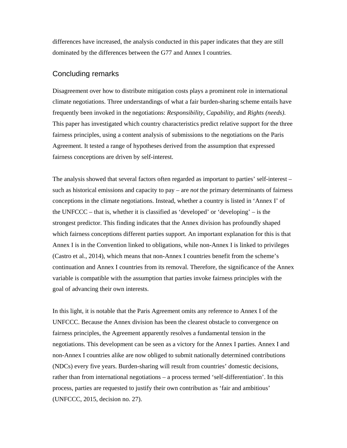differences have increased, the analysis conducted in this paper indicates that they are still dominated by the differences between the G77 and Annex I countries.

# Concluding remarks

Disagreement over how to distribute mitigation costs plays a prominent role in international climate negotiations. Three understandings of what a fair burden-sharing scheme entails have frequently been invoked in the negotiations: *Responsibility*, *Capability*, and *Rights (needs)*. This paper has investigated which country characteristics predict relative support for the three fairness principles, using a content analysis of submissions to the negotiations on the Paris Agreement. It tested a range of hypotheses derived from the assumption that expressed fairness conceptions are driven by self-interest.

The analysis showed that several factors often regarded as important to parties' self-interest – such as historical emissions and capacity to pay – are *not* the primary determinants of fairness conceptions in the climate negotiations. Instead, whether a country is listed in 'Annex I' of the UNFCCC – that is, whether it is classified as 'developed' or 'developing' – is the strongest predictor. This finding indicates that the Annex division has profoundly shaped which fairness conceptions different parties support. An important explanation for this is that Annex I is in the Convention linked to obligations, while non-Annex I is linked to privileges (Castro et al., 2014), which means that non-Annex I countries benefit from the scheme's continuation and Annex I countries from its removal. Therefore, the significance of the Annex variable is compatible with the assumption that parties invoke fairness principles with the goal of advancing their own interests.

In this light, it is notable that the Paris Agreement omits any reference to Annex I of the UNFCCC. Because the Annex division has been the clearest obstacle to convergence on fairness principles, the Agreement apparently resolves a fundamental tension in the negotiations. This development can be seen as a victory for the Annex I parties. Annex I and non-Annex I countries alike are now obliged to submit nationally determined contributions (NDCs) every five years. Burden-sharing will result from countries' domestic decisions, rather than from international negotiations – a process termed 'self-differentiation'. In this process, parties are requested to justify their own contribution as 'fair and ambitious' (UNFCCC, 2015, decision no. 27).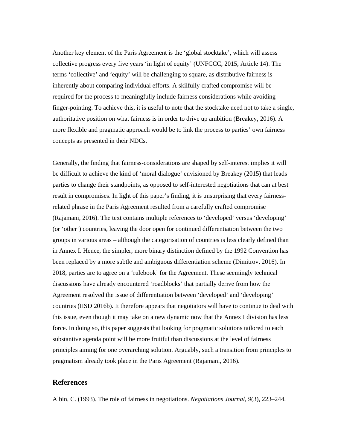Another key element of the Paris Agreement is the 'global stocktake', which will assess collective progress every five years 'in light of equity' (UNFCCC, 2015, Article 14). The terms 'collective' and 'equity' will be challenging to square, as distributive fairness is inherently about comparing individual efforts. A skilfully crafted compromise will be required for the process to meaningfully include fairness considerations while avoiding finger-pointing. To achieve this, it is useful to note that the stocktake need not to take a single, authoritative position on what fairness is in order to drive up ambition (Breakey, 2016). A more flexible and pragmatic approach would be to link the process to parties' own fairness concepts as presented in their NDCs.

Generally, the finding that fairness-considerations are shaped by self-interest implies it will be difficult to achieve the kind of 'moral dialogue' envisioned by Breakey (2015) that leads parties to change their standpoints, as opposed to self-interested negotiations that can at best result in compromises. In light of this paper's finding, it is unsurprising that every fairnessrelated phrase in the Paris Agreement resulted from a carefully crafted compromise (Rajamani, 2016). The text contains multiple references to 'developed' versus 'developing' (or 'other') countries, leaving the door open for continued differentiation between the two groups in various areas – although the categorisation of countries is less clearly defined than in Annex I. Hence, the simpler, more binary distinction defined by the 1992 Convention has been replaced by a more subtle and ambiguous differentiation scheme (Dimitrov, 2016). In 2018, parties are to agree on a 'rulebook' for the Agreement. These seemingly technical discussions have already encountered 'roadblocks' that partially derive from how the Agreement resolved the issue of differentiation between 'developed' and 'developing' countries (IISD 2016b). It therefore appears that negotiators will have to continue to deal with this issue, even though it may take on a new dynamic now that the Annex I division has less force. In doing so, this paper suggests that looking for pragmatic solutions tailored to each substantive agenda point will be more fruitful than discussions at the level of fairness principles aiming for one overarching solution. Arguably, such a transition from principles to pragmatism already took place in the Paris Agreement (Rajamani, 2016).

# **References**

Albin, C. (1993). The role of fairness in negotiations. *Negotiations Journal*, *9*(3), 223–244.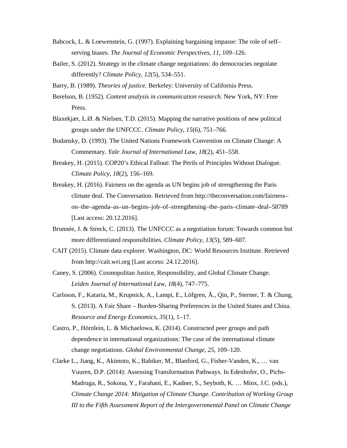- Babcock, L. & Loewenstein, G. (1997). Explaining bargaining impasse: The role of self– serving biases. *The Journal of Economic Perspectives*, *11*, 109–126.
- Bailer, S. (2012). Strategy in the climate change negotiations: do democracies negotiate differently? *Climate Policy, 12*(5)*,* 534–551.
- Barry, B. (1989). *Theories of justice.* Berkeley: University of California Press.
- Berelson, B. (1952). *Content analysis in communication research.* New York, NY: Free Press.
- Blaxekjær, L.Ø. & Nielsen, T.D. (2015). Mapping the narrative positions of new political groups under the UNFCCC. *Climate Policy*, *15*(6), 751–766.
- Bodansky, D. (1993). The United Nations Framework Convention on Climate Change: A Commentary. *Yale Journal of International Law, 18*(2), 451–558.
- Breakey, H. (2015). COP20's Ethical Fallout: The Perils of Principles Without Dialogue. *Climate Policy*, *18*(2), 156–169.
- Breakey, H. (2016). Fairness on the agenda as UN begins job of strengthening the Paris climate deal. The Conversation. Retrieved from http://theconversation.com/fairness– on–the–agenda–as–un–begins–job–of–strengthening–the–paris–climate–deal–58789 [Last access: 20.12.2016].
- Brunnée, J. & Streck, C. (2013). The UNFCCC as a negotiation forum: Towards common but more differentiated responsibilities. *Climate Policy*, *13*(5), 589–607.
- CAIT (2015). Climate data explorer. Washington, DC: World Resources Institute. Retrieved from http://cait.wri.org [Last access: 24.12.2016].
- Caney, S. (2006). Cosmopolitan Justice, Responsibility, and Global Climate Change.  *Leiden Journal of International Law*, *18*(4), 747–775.
- Carlsson, F., Kataria, M., Krupnick, A., Lampi, E., Löfgren, Å., Qin, P., Sterner, T. & Chung, S. (2013). A Fair Share – Burden-Sharing Preferences in the United States and China. *Resource and Energy Economics*, *35*(1), 1–17.
- Castro, P., Hörnlein, L. & Michaelowa, K. (2014). Constructed peer groups and path dependence in international organizations: The case of the international climate change negotiations. *Global Environmental Change, 25*, 109–120.
- Clarke L., Jiang, K., Akimoto, K., Babiker, M., Blanford, G., Fisher-Vanden, K., … van Vuuren, D.P. (2014): Assessing Transformation Pathways. In Edenhofer, O., Pichs-Madruga, R., Sokona, Y., Farahani, E., Kadner, S., Seyboth, K. … Minx, J.C. (eds.), *Climate Change 2014: Mitigation of Climate Change. Contribution of Working Group III to the Fifth Assessment Report of the Intergovernmental Panel on Climate Change*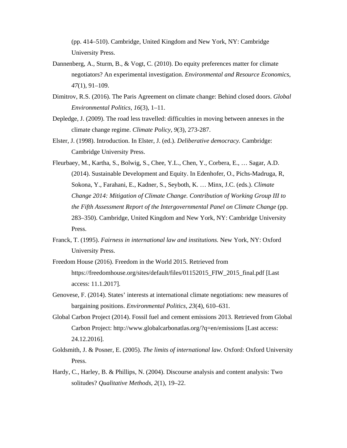(pp. 414–510). Cambridge, United Kingdom and New York, NY: Cambridge University Press.

- Dannenberg, A., Sturm, B., & Vogt, C. (2010). Do equity preferences matter for climate negotiators? An experimental investigation. *Environmental and Resource Economics*, *47*(1)*,* 91–109.
- Dimitrov, R.S. (2016). The Paris Agreement on climate change: Behind closed doors. *Global Environmental Politics*, *16*(3), 1–11.
- Depledge, J. (2009). The road less travelled: difficulties in moving between annexes in the climate change regime. *Climate Policy*, *9*(3), 273-287.
- Elster, J. (1998). Introduction. In Elster, J. (ed.). *Deliberative democracy.* Cambridge: Cambridge University Press.
- Fleurbaey, M., Kartha, S., Bolwig, S., Chee, Y.L., Chen, Y., Corbera, E., … Sagar, A.D. (2014). Sustainable Development and Equity. In Edenhofer, O., Pichs-Madruga, R, Sokona, Y., Farahani, E., Kadner, S., Seyboth, K. … Minx, J.C. (eds.). *Climate Change 2014: Mitigation of Climate Change. Contribution of Working Group III to the Fifth Assessment Report of the Intergovernmental Panel on Climate Change* (pp. 283–350). Cambridge, United Kingdom and New York, NY: Cambridge University Press.
- Franck, T. (1995). *Fairness in international law and institutions.* New York, NY: Oxford University Press.
- Freedom House (2016). Freedom in the World 2015. Retrieved from https://freedomhouse.org/sites/default/files/01152015\_FIW\_2015\_final.pdf [Last access: 11.1.2017].
- Genovese, F. (2014). States' interests at international climate negotiations: new measures of bargaining positions. *Environmental Politics*, *23*(4), 610–631.
- Global Carbon Project (2014). Fossil fuel and cement emissions 2013. Retrieved from Global Carbon Project: http://www.globalcarbonatlas.org/?q=en/emissions [Last access: 24.12.2016].
- Goldsmith, J. & Posner, E. (2005). *The limits of international law.* Oxford: Oxford University Press.
- Hardy, C., Harley, B. & Phillips, N. (2004). Discourse analysis and content analysis: Two solitudes? *Qualitative Methods*, *2*(1), 19–22.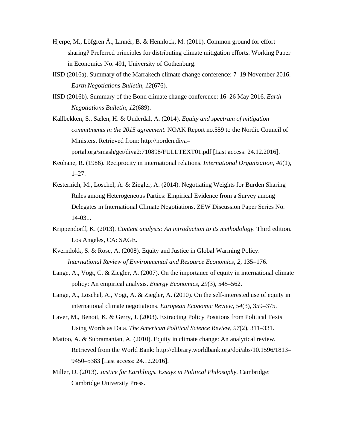- Hjerpe, M., Löfgren Å., Linnér, B. & Hennlock, M. (2011). Common ground for effort sharing? Preferred principles for distributing climate mitigation efforts. Working Paper in Economics No. 491, University of Gothenburg.
- IISD (2016a). Summary of the Marrakech climate change conference: 7–19 November 2016. *Earth Negotiations Bulletin, 12*(676).
- IISD (2016b). Summary of the Bonn climate change conference: 16–26 May 2016. *Earth Negotiations Bulletin, 12*(689).
- Kallbekken, S., Sælen, H. & Underdal, A. (2014). *Equity and spectrum of mitigation commitments in the 2015 agreement.* NOAK Report no.559 to the Nordic Council of Ministers. Retrieved from: http://norden.diva– portal.org/smash/get/diva2:710898/FULLTEXT01.pdf [Last access: 24.12.2016].
- Keohane, R. (1986). Reciprocity in international relations. *International Organization*, *40*(1), 1–27.
- Kesternich, M., Löschel, A. & Ziegler, A. (2014). Negotiating Weights for Burden Sharing Rules among Heterogeneous Parties: Empirical Evidence from a Survey among Delegates in International Climate Negotiations. ZEW Discussion Paper Series No. 14-031.
- Krippendorff, K. (2013). *Content analysis: An introduction to its methodology.* Third edition. Los Angeles, CA: SAGE.
- Kverndokk, S. & Rose, A. (2008). Equity and Justice in Global Warming Policy. *International Review of Environmental and Resource Economics*, *2*, 135–176.
- Lange, A., Vogt, C. & Ziegler, A. (2007). On the importance of equity in international climate policy: An empirical analysis. *Energy Economics*, *29*(3), 545–562.
- Lange, A., Löschel, A., Vogt, A. & Ziegler, A. (2010). On the self-interested use of equity in international climate negotiations. *European Economic Review*, *54*(3), 359–375.
- Laver, M., Benoit, K. & Gerry, J. (2003). Extracting Policy Positions from Political Texts Using Words as Data. *The American Political Science Review*, *97*(2), 311–331.
- Mattoo, A. & Subramanian, A. (2010). Equity in climate change: An analytical review*.*  Retrieved from the World Bank: http://elibrary.worldbank.org/doi/abs/10.1596/1813– 9450–5383 [Last access: 24.12.2016].
- Miller, D. (2013). *Justice for Earthlings. Essays in Political Philosophy.* Cambridge: Cambridge University Press.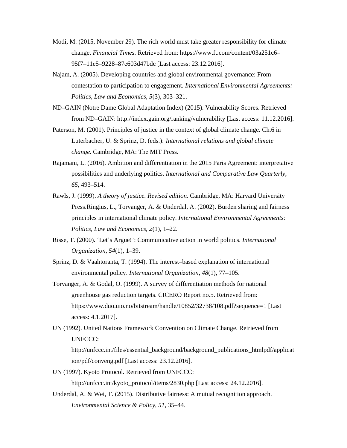- Modi, M. (2015, November 29). The rich world must take greater responsibility for climate change. *Financial Times.* Retrieved from: https://www.ft.com/content/03a251c6– 95f7–11e5–9228–87e603d47bdc [Last access: 23.12.2016].
- Najam, A. (2005). Developing countries and global environmental governance: From contestation to participation to engagement. *International Environmental Agreements: Politics, Law and Economics*, *5*(3), 303–321.
- ND–GAIN (Notre Dame Global Adaptation Index) (2015). Vulnerability Scores. Retrieved from ND–GAIN: http://index.gain.org/ranking/vulnerability [Last access: 11.12.2016].
- Paterson, M. (2001). Principles of justice in the context of global climate change. Ch.6 in Luterbacher, U. & Sprinz, D. (eds.): *International relations and global climate change.* Cambridge, MA: The MIT Press.
- Rajamani, L. (2016). Ambition and differentiation in the 2015 Paris Agreement: interpretative possibilities and underlying politics. *International and Comparative Law Quarterly*, *65*, 493–514.
- Rawls, J. (1999). *A theory of justice. Revised edition.* Cambridge, MA: Harvard University Press.Ringius, L., Torvanger, A. & Underdal, A. (2002). Burden sharing and fairness principles in international climate policy. *International Environmental Agreements: Politics, Law and Economics*, *2*(1), 1–22.
- Risse, T. (2000). 'Let's Argue!': Communicative action in world politics. *International Organization*, *54*(1), 1–39.
- Sprinz, D. & Vaahtoranta, T. (1994). The interest–based explanation of international environmental policy. *International Organization*, *48*(1), 77–105.
- Torvanger, A. & Godal, O. (1999). A survey of differentiation methods for national greenhouse gas reduction targets. CICERO Report no.5. Retrieved from: https://www.duo.uio.no/bitstream/handle/10852/32738/108.pdf?sequence=1 [Last access: 4.1.2017].
- UN (1992). United Nations Framework Convention on Climate Change. Retrieved from UNFCCC:

http://unfccc.int/files/essential\_background/background\_publications\_htmlpdf/applicat ion/pdf/conveng.pdf [Last access: 23.12.2016].

- UN (1997). Kyoto Protocol. Retrieved from UNFCCC: http://unfccc.int/kyoto\_protocol/items/2830.php [Last access: 24.12.2016].
- Underdal, A. & Wei, T. (2015). Distributive fairness: A mutual recognition approach. *Environmental Science & Policy*, *51*, 35–44.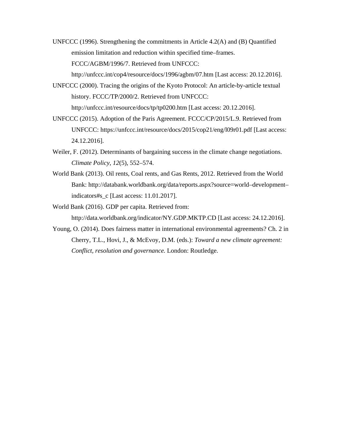UNFCCC (1996). Strengthening the commitments in Article 4.2(A) and (B) Quantified emission limitation and reduction within specified time–frames. FCCC/AGBM/1996/7. Retrieved from UNFCCC:

http://unfccc.int/cop4/resource/docs/1996/agbm/07.htm [Last access: 20.12.2016].

UNFCCC (2000). Tracing the origins of the Kyoto Protocol: An article-by-article textual history. FCCC/TP/2000/2. Retrieved from UNFCCC:

http://unfccc.int/resource/docs/tp/tp0200.htm [Last access: 20.12.2016].

- UNFCCC (2015). Adoption of the Paris Agreement. FCCC/CP/2015/L.9. Retrieved from UNFCCC: https://unfccc.int/resource/docs/2015/cop21/eng/l09r01.pdf [Last access: 24.12.2016].
- Weiler, F. (2012). Determinants of bargaining success in the climate change negotiations. *Climate Policy*, *12*(5), 552–574.
- World Bank (2013). Oil rents, Coal rents, and Gas Rents, 2012. Retrieved from the World Bank: http://databank.worldbank.org/data/reports.aspx?source=world–development– indicators#s\_c [Last access: 11.01.2017].
- World Bank (2016). GDP per capita. Retrieved from: http://data.worldbank.org/indicator/NY.GDP.MKTP.CD [Last access: 24.12.2016].
- Young, O. (2014). Does fairness matter in international environmental agreements? Ch. 2 in Cherry, T.L., Hovi, J., & McEvoy, D.M. (eds.): *Toward a new climate agreement: Conflict, resolution and governance.* London: Routledge.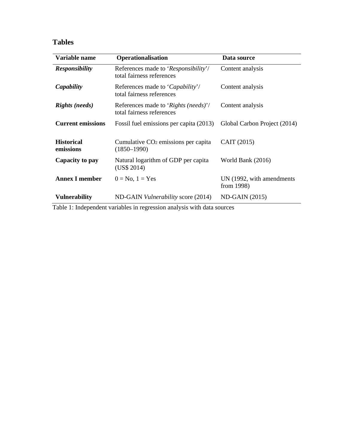# **Tables**

| Variable name                  | <b>Operationalisation</b>                                         | Data source                             |  |
|--------------------------------|-------------------------------------------------------------------|-----------------------------------------|--|
| <b>Responsibility</b>          | References made to 'Responsibility'/<br>total fairness references | Content analysis                        |  |
| Capability                     | References made to 'Capability'/<br>total fairness references     | Content analysis                        |  |
| <b>Rights</b> (needs)          | References made to 'Rights (needs)'/<br>total fairness references | Content analysis                        |  |
| <b>Current emissions</b>       | Fossil fuel emissions per capita (2013)                           | Global Carbon Project (2014)            |  |
| <b>Historical</b><br>emissions | Cumulative $CO2$ emissions per capita<br>$(1850 - 1990)$          | CAIT (2015)                             |  |
| Capacity to pay                | Natural logarithm of GDP per capita<br>(US\$ 2014)                | World Bank (2016)                       |  |
| <b>Annex I member</b>          | $0 = No, 1 = Yes$                                                 | UN (1992, with amendments<br>from 1998) |  |
| <b>Vulnerability</b>           | ND-GAIN <i>Vulnerability</i> score (2014)                         | $ND-GAIN (2015)$                        |  |

Table 1: Independent variables in regression analysis with data sources